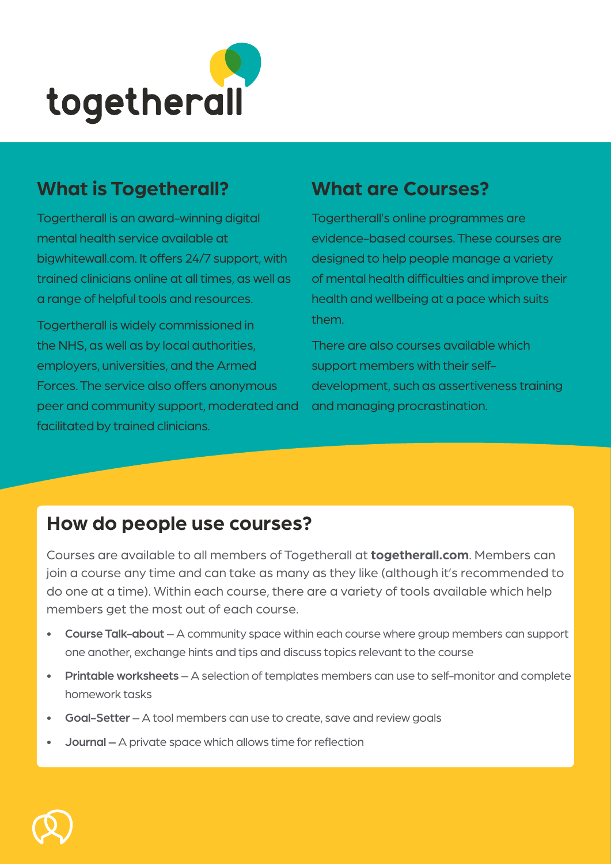

# **What is Togetherall? What are Courses?**

Togertherall is an award-winning digital mental health service available at bigwhitewall.com. It offers 24/7 support, with trained clinicians online at all times, as well as a range of helpful tools and resources.

Togertherall is widely commissioned in the NHS, as well as by local authorities, employers, universities, and the Armed Forces. The service also offers anonymous peer and community support, moderated and facilitated by trained clinicians.

Togertherall's online programmes are evidence-based courses. These courses are designed to help people manage a variety of mental health difficulties and improve their health and wellbeing at a pace which suits them.

There are also courses available which support members with their selfdevelopment, such as assertiveness training and managing procrastination.

# **How do people use courses?**

Courses are available to all members of Togetherall at **togetherall.com**. Members can join a course any time and can take as many as they like (although it's recommended to do one at a time). Within each course, there are a variety of tools available which help members get the most out of each course.

- Course Talk-about A community space within each course where group members can support one another, exchange hints and tips and discuss topics relevant to the course
- Printable worksheets  $-$  A selection of templates members can use to self-monitor and complete homework tasks
- Goal-Setter A tool members can use to create, save and review goals
- Journal A private space which allows time for reflection

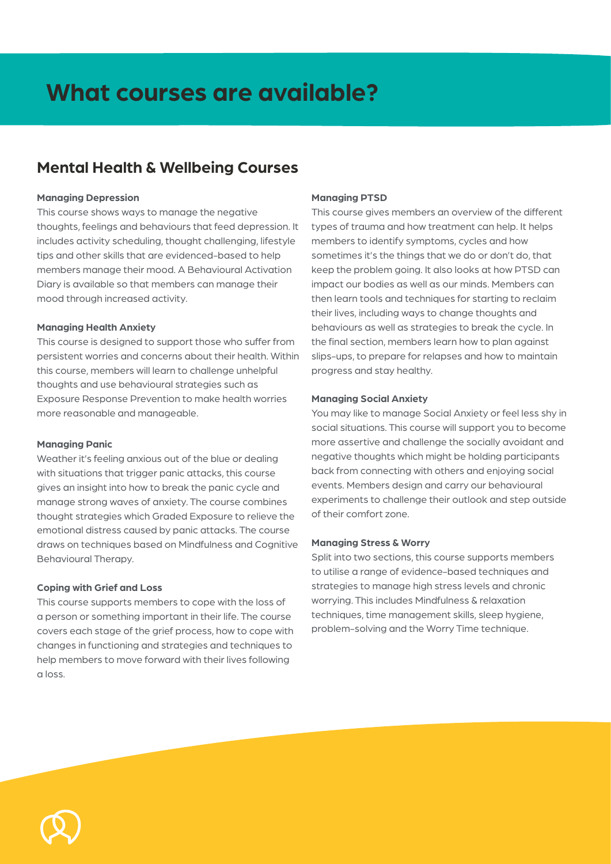### **Mental Health & Wellbeing Courses**

#### **Managing Depression**

This course shows ways to manage the negative thoughts, feelings and behaviours that feed depression. It includes activity scheduling, thought challenging, lifestyle tips and other skills that are evidenced-based to help members manage their mood. A Behavioural Activation Diary is available so that members can manage their mood through increased activity.

#### **Managing Health Anxiety**

This course is designed to support those who suffer from persistent worries and concerns about their health. Within this course, members will learn to challenge unhelpful thoughts and use behavioural strategies such as Exposure Response Prevention to make health worries more reasonable and manageable.

#### **Managing Panic**

Weather it's feeling anxious out of the blue or dealing with situations that trigger panic attacks, this course gives an insight into how to break the panic cycle and manage strong waves of anxiety. The course combines thought strategies which Graded Exposure to relieve the emotional distress caused by panic attacks. The course draws on techniques based on Mindfulness and Cognitive Behavioural Therapy.

### **Coping with Grief and Loss**

This course supports members to cope with the loss of a person or something important in their life. The course covers each stage of the grief process, how to cope with changes in functioning and strategies and techniques to help members to move forward with their lives following a loss.

#### **Managing PTSD**

This course gives members an overview of the different types of trauma and how treatment can help. It helps members to identify symptoms, cycles and how sometimes it's the things that we do or don't do, that keep the problem going. It also looks at how PTSD can impact our bodies as well as our minds. Members can then learn tools and techniques for starting to reclaim their lives, including ways to change thoughts and behaviours as well as strategies to break the cycle. In the final section, members learn how to plan against slips-ups, to prepare for relapses and how to maintain progress and stay healthy.

#### **Managing Social Anxiety**

You may like to manage Social Anxiety or feel less shy in social situations. This course will support you to become more assertive and challenge the socially avoidant and negative thoughts which might be holding participants back from connecting with others and enjoying social events. Members design and carry our behavioural experiments to challenge their outlook and step outside of their comfort zone.

#### **Managing Stress & Worry**

Split into two sections, this course supports members to utilise a range of evidence-based techniques and strategies to manage high stress levels and chronic worrying. This includes Mindfulness & relaxation techniques, time management skills, sleep hygiene, problem-solving and the Worry Time technique.

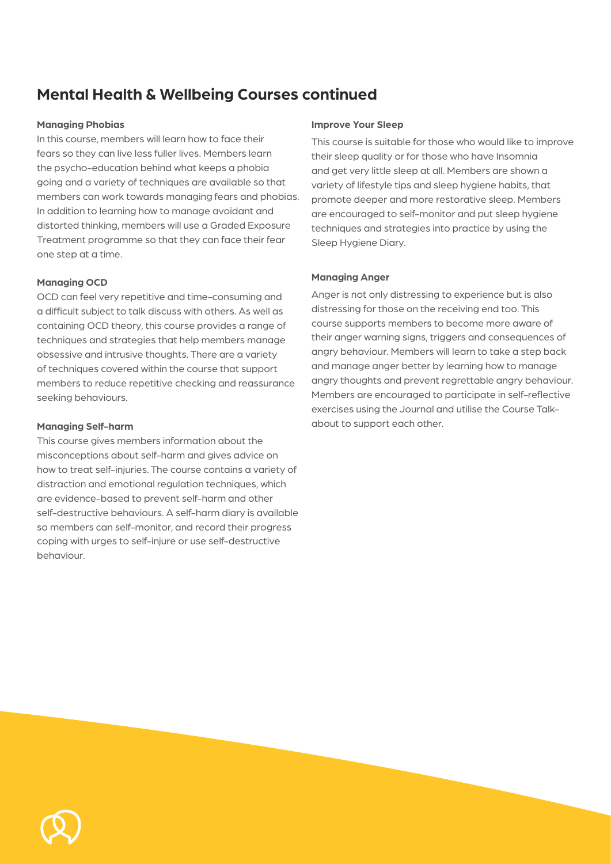# **Mental Health & Wellbeing Courses continued**

#### **Managing Phobias**

In this course, members will learn how to face their fears so they can live less fuller lives. Members learn the psycho-education behind what keeps a phobia going and a variety of techniques are available so that members can work towards managing fears and phobias. In addition to learning how to manage avoidant and distorted thinking, members will use a Graded Exposure Treatment programme so that they can face their fear one step at a time.

#### **Managing OCD**

OCD can feel very repetitive and time-consuming and a difficult subject to talk discuss with others. As well as containing OCD theory, this course provides a range of techniques and strategies that help members manage obsessive and intrusive thoughts. There are a variety of techniques covered within the course that support members to reduce repetitive checking and reassurance seeking behaviours.

#### **Managing Self-harm**

This course gives members information about the misconceptions about self-harm and gives advice on how to treat self-injuries. The course contains a variety of distraction and emotional regulation techniques, which are evidence-based to prevent self-harm and other self-destructive behaviours. A self-harm diary is available so members can self-monitor, and record their progress coping with urges to self-injure or use self-destructive behaviour.

#### **Improve Your Sleep**

This course is suitable for those who would like to improve their sleep quality or for those who have Insomnia and get very little sleep at all. Members are shown a variety of lifestyle tips and sleep hygiene habits, that promote deeper and more restorative sleep. Members are encouraged to self-monitor and put sleep hygiene techniques and strategies into practice by using the Sleep Hygiene Diary.

### **Managing Anger**

Anger is not only distressing to experience but is also distressing for those on the receiving end too. This course supports members to become more aware of their anger warning signs, triggers and consequences of angry behaviour. Members will learn to take a step back and manage anger better by learning how to manage angry thoughts and prevent regrettable angry behaviour. Members are encouraged to participate in self-reflective exercises using the Journal and utilise the Course Talkabout to support each other.